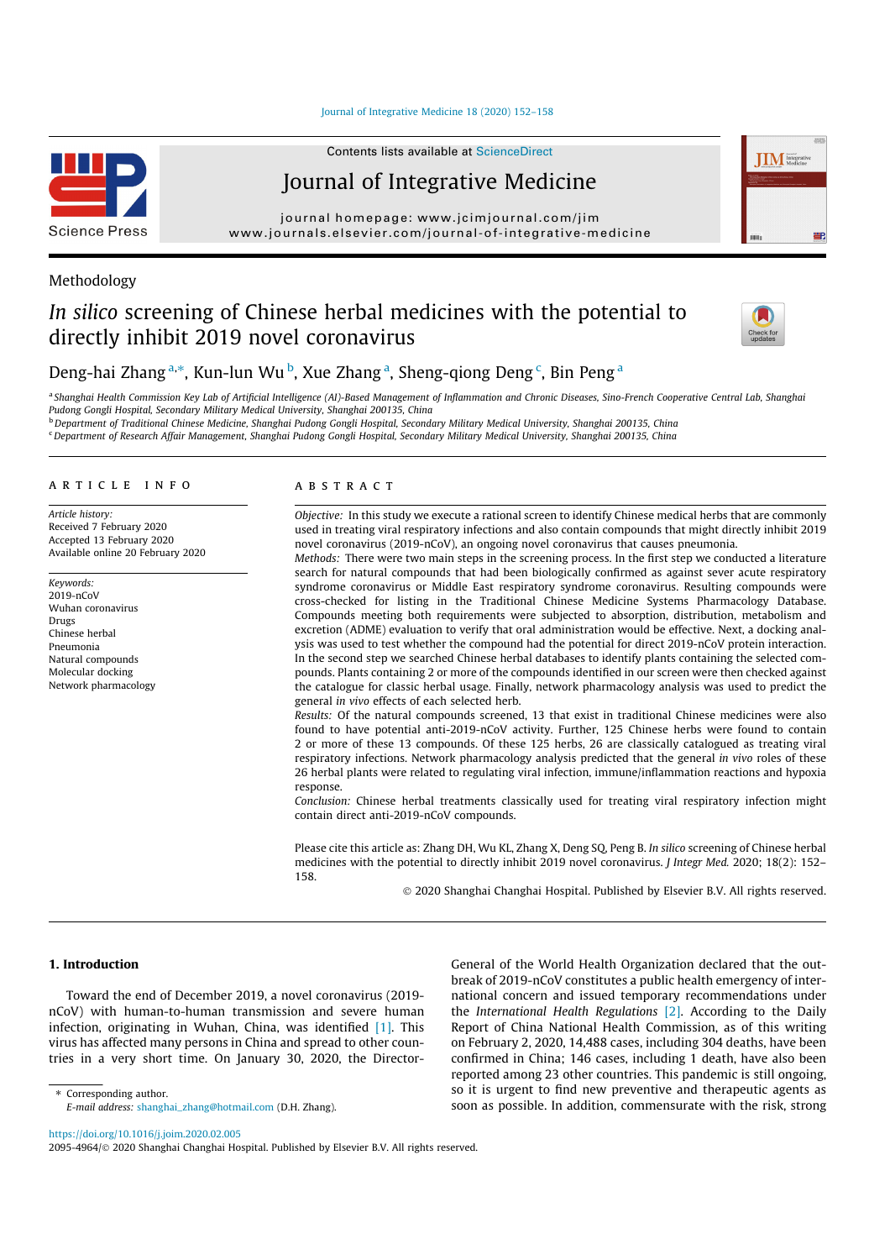Journal of Integrative Medicine 18 (2020) 152–158



Contents lists available at ScienceDirect

# Journal of Integrative Medicine

journal homepage: www.jcimjournal.com/jim www.journals.elsevier.com/journal-of-integrative-medicine

# Methodology

# In silico screening of Chinese herbal medicines with the potential to directly inhibit 2019 novel coronavirus



**IIM** Integrati

# Deng-hai Zhang<sup>a,\*</sup>, Kun-lun Wu<sup>b</sup>, Xue Zhang<sup>a</sup>, Sheng-qiong Deng<sup>c</sup>, Bin Peng<sup>a</sup>

a Shanghai Health Commission Key Lab of Artificial Intelligence (AI)-Based Management of Inflammation and Chronic Diseases, Sino-French Cooperative Central Lab, Shanghai Pudong Gongli Hospital, Secondary Military Medical University, Shanghai 200135, China

<sup>b</sup> Department of Traditional Chinese Medicine, Shanghai Pudong Gongli Hospital, Secondary Military Medical University, Shanghai 200135, China

<sup>c</sup>Department of Research Affair Management, Shanghai Pudong Gongli Hospital, Secondary Military Medical University, Shanghai 200135, China

# article info

Article history: Received 7 February 2020 Accepted 13 February 2020 Available online 20 February 2020

Keywords: 2019-nCoV Wuhan coronavirus Drugs Chinese herbal Pneumonia Natural compounds Molecular docking Network pharmacology

### ABSTRACT

Objective: In this study we execute a rational screen to identify Chinese medical herbs that are commonly used in treating viral respiratory infections and also contain compounds that might directly inhibit 2019 novel coronavirus (2019-nCoV), an ongoing novel coronavirus that causes pneumonia.

Methods: There were two main steps in the screening process. In the first step we conducted a literature search for natural compounds that had been biologically confirmed as against sever acute respiratory syndrome coronavirus or Middle East respiratory syndrome coronavirus. Resulting compounds were cross-checked for listing in the Traditional Chinese Medicine Systems Pharmacology Database. Compounds meeting both requirements were subjected to absorption, distribution, metabolism and excretion (ADME) evaluation to verify that oral administration would be effective. Next, a docking analysis was used to test whether the compound had the potential for direct 2019-nCoV protein interaction. In the second step we searched Chinese herbal databases to identify plants containing the selected compounds. Plants containing 2 or more of the compounds identified in our screen were then checked against the catalogue for classic herbal usage. Finally, network pharmacology analysis was used to predict the general in vivo effects of each selected herb.

Results: Of the natural compounds screened, 13 that exist in traditional Chinese medicines were also found to have potential anti-2019-nCoV activity. Further, 125 Chinese herbs were found to contain 2 or more of these 13 compounds. Of these 125 herbs, 26 are classically catalogued as treating viral respiratory infections. Network pharmacology analysis predicted that the general in vivo roles of these 26 herbal plants were related to regulating viral infection, immune/inflammation reactions and hypoxia response.

Conclusion: Chinese herbal treatments classically used for treating viral respiratory infection might contain direct anti-2019-nCoV compounds.

Please cite this article as: Zhang DH, Wu KL, Zhang X, Deng SQ, Peng B. In silico screening of Chinese herbal medicines with the potential to directly inhibit 2019 novel coronavirus. J Integr Med. 2020; 18(2): 152– 158.

 $\odot$  2020 Shanghai Changhai Hospital. Published by Elsevier B.V. All rights reserved.

#### 1. Introduction

Toward the end of December 2019, a novel coronavirus (2019 nCoV) with human-to-human transmission and severe human infection, originating in Wuhan, China, was identified [1]. This virus has affected many persons in China and spread to other countries in a very short time. On January 30, 2020, the DirectorGeneral of the World Health Organization declared that the outbreak of 2019-nCoV constitutes a public health emergency of international concern and issued temporary recommendations under the International Health Regulations [2]. According to the Daily Report of China National Health Commission, as of this writing on February 2, 2020, 14,488 cases, including 304 deaths, have been confirmed in China; 146 cases, including 1 death, have also been reported among 23 other countries. This pandemic is still ongoing, so it is urgent to find new preventive and therapeutic agents as soon as possible. In addition, commensurate with the risk, strong

Corresponding author.

https://doi.org/10.1016/j.joim.2020.02.005

E-mail address: shanghai\_zhang@hotmail.com (D.H. Zhang).

<sup>2095-4964/© 2020</sup> Shanghai Changhai Hospital. Published by Elsevier B.V. All rights reserved.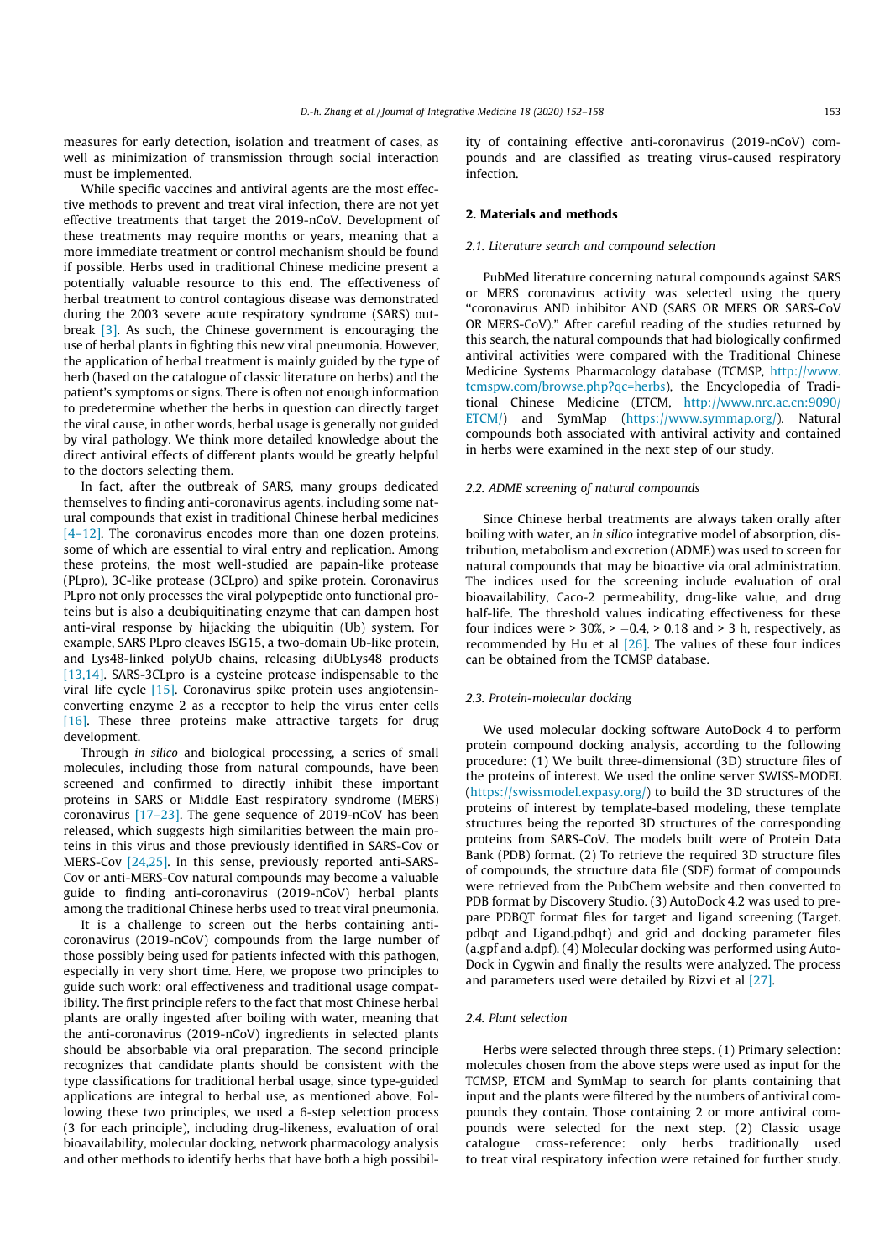measures for early detection, isolation and treatment of cases, as well as minimization of transmission through social interaction must be implemented.

While specific vaccines and antiviral agents are the most effective methods to prevent and treat viral infection, there are not yet effective treatments that target the 2019-nCoV. Development of these treatments may require months or years, meaning that a more immediate treatment or control mechanism should be found if possible. Herbs used in traditional Chinese medicine present a potentially valuable resource to this end. The effectiveness of herbal treatment to control contagious disease was demonstrated during the 2003 severe acute respiratory syndrome (SARS) outbreak [3]. As such, the Chinese government is encouraging the use of herbal plants in fighting this new viral pneumonia. However, the application of herbal treatment is mainly guided by the type of herb (based on the catalogue of classic literature on herbs) and the patient's symptoms or signs. There is often not enough information to predetermine whether the herbs in question can directly target the viral cause, in other words, herbal usage is generally not guided by viral pathology. We think more detailed knowledge about the direct antiviral effects of different plants would be greatly helpful to the doctors selecting them.

In fact, after the outbreak of SARS, many groups dedicated themselves to finding anti-coronavirus agents, including some natural compounds that exist in traditional Chinese herbal medicines [4–12]. The coronavirus encodes more than one dozen proteins, some of which are essential to viral entry and replication. Among these proteins, the most well-studied are papain-like protease (PLpro), 3C-like protease (3CLpro) and spike protein. Coronavirus PLpro not only processes the viral polypeptide onto functional proteins but is also a deubiquitinating enzyme that can dampen host anti-viral response by hijacking the ubiquitin (Ub) system. For example, SARS PLpro cleaves ISG15, a two-domain Ub-like protein, and Lys48-linked polyUb chains, releasing diUbLys48 products [13,14]. SARS-3CLpro is a cysteine protease indispensable to the viral life cycle [15]. Coronavirus spike protein uses angiotensinconverting enzyme 2 as a receptor to help the virus enter cells [16]. These three proteins make attractive targets for drug development.

Through in silico and biological processing, a series of small molecules, including those from natural compounds, have been screened and confirmed to directly inhibit these important proteins in SARS or Middle East respiratory syndrome (MERS) coronavirus [17–23]. The gene sequence of 2019-nCoV has been released, which suggests high similarities between the main proteins in this virus and those previously identified in SARS-Cov or MERS-Cov [24,25]. In this sense, previously reported anti-SARS-Cov or anti-MERS-Cov natural compounds may become a valuable guide to finding anti-coronavirus (2019-nCoV) herbal plants among the traditional Chinese herbs used to treat viral pneumonia.

It is a challenge to screen out the herbs containing anticoronavirus (2019-nCoV) compounds from the large number of those possibly being used for patients infected with this pathogen, especially in very short time. Here, we propose two principles to guide such work: oral effectiveness and traditional usage compatibility. The first principle refers to the fact that most Chinese herbal plants are orally ingested after boiling with water, meaning that the anti-coronavirus (2019-nCoV) ingredients in selected plants should be absorbable via oral preparation. The second principle recognizes that candidate plants should be consistent with the type classifications for traditional herbal usage, since type-guided applications are integral to herbal use, as mentioned above. Following these two principles, we used a 6-step selection process (3 for each principle), including drug-likeness, evaluation of oral bioavailability, molecular docking, network pharmacology analysis and other methods to identify herbs that have both a high possibility of containing effective anti-coronavirus (2019-nCoV) compounds and are classified as treating virus-caused respiratory infection.

#### 2. Materials and methods

#### 2.1. Literature search and compound selection

PubMed literature concerning natural compounds against SARS or MERS coronavirus activity was selected using the query ''coronavirus AND inhibitor AND (SARS OR MERS OR SARS-CoV OR MERS-CoV)." After careful reading of the studies returned by this search, the natural compounds that had biologically confirmed antiviral activities were compared with the Traditional Chinese Medicine Systems Pharmacology database (TCMSP, http://www. tcmspw.com/browse.php?qc=herbs), the Encyclopedia of Traditional Chinese Medicine (ETCM, http://www.nrc.ac.cn:9090/ ETCM/) and SymMap (https://www.symmap.org/). Natural compounds both associated with antiviral activity and contained in herbs were examined in the next step of our study.

#### 2.2. ADME screening of natural compounds

Since Chinese herbal treatments are always taken orally after boiling with water, an in silico integrative model of absorption, distribution, metabolism and excretion (ADME) was used to screen for natural compounds that may be bioactive via oral administration. The indices used for the screening include evaluation of oral bioavailability, Caco-2 permeability, drug-like value, and drug half-life. The threshold values indicating effectiveness for these four indices were  $> 30\% > -0.4$ ,  $> 0.18$  and  $> 3$  h, respectively, as recommended by Hu et al [26]. The values of these four indices can be obtained from the TCMSP database.

#### 2.3. Protein-molecular docking

We used molecular docking software AutoDock 4 to perform protein compound docking analysis, according to the following procedure: (1) We built three-dimensional (3D) structure files of the proteins of interest. We used the online server SWISS-MODEL (https://swissmodel.expasy.org/) to build the 3D structures of the proteins of interest by template-based modeling, these template structures being the reported 3D structures of the corresponding proteins from SARS-CoV. The models built were of Protein Data Bank (PDB) format. (2) To retrieve the required 3D structure files of compounds, the structure data file (SDF) format of compounds were retrieved from the PubChem website and then converted to PDB format by Discovery Studio. (3) AutoDock 4.2 was used to prepare PDBQT format files for target and ligand screening (Target. pdbqt and Ligand.pdbqt) and grid and docking parameter files (a.gpf and a.dpf). (4) Molecular docking was performed using Auto-Dock in Cygwin and finally the results were analyzed. The process and parameters used were detailed by Rizvi et al [27].

#### 2.4. Plant selection

Herbs were selected through three steps. (1) Primary selection: molecules chosen from the above steps were used as input for the TCMSP, ETCM and SymMap to search for plants containing that input and the plants were filtered by the numbers of antiviral compounds they contain. Those containing 2 or more antiviral compounds were selected for the next step. (2) Classic usage catalogue cross-reference: only herbs traditionally used to treat viral respiratory infection were retained for further study.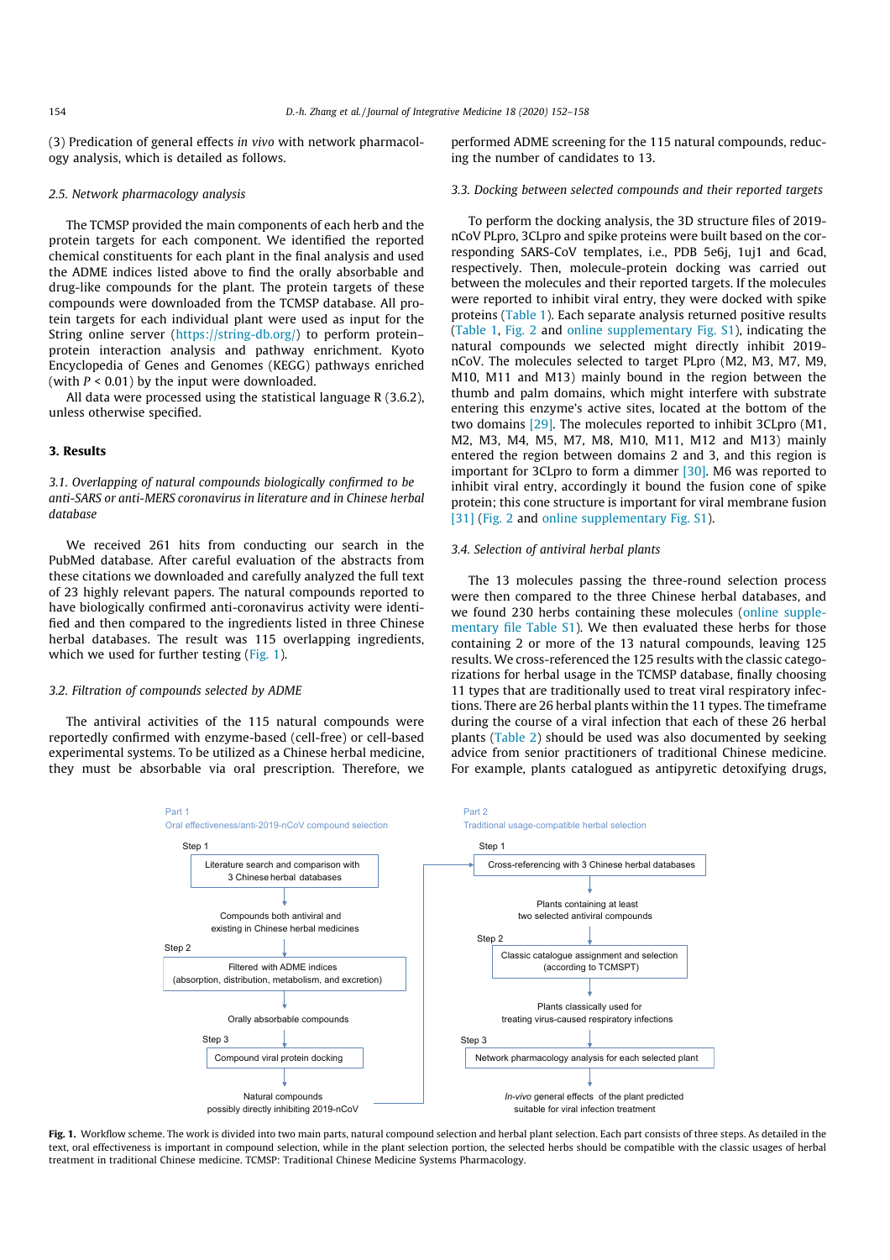(3) Predication of general effects in vivo with network pharmacology analysis, which is detailed as follows.

#### 2.5. Network pharmacology analysis

The TCMSP provided the main components of each herb and the protein targets for each component. We identified the reported chemical constituents for each plant in the final analysis and used the ADME indices listed above to find the orally absorbable and drug-like compounds for the plant. The protein targets of these compounds were downloaded from the TCMSP database. All protein targets for each individual plant were used as input for the String online server (https://string-db.org/) to perform protein– protein interaction analysis and pathway enrichment. Kyoto Encyclopedia of Genes and Genomes (KEGG) pathways enriched (with  $P < 0.01$ ) by the input were downloaded.

All data were processed using the statistical language R (3.6.2), unless otherwise specified.

# 3. Results

3.1. Overlapping of natural compounds biologically confirmed to be anti-SARS or anti-MERS coronavirus in literature and in Chinese herbal database

We received 261 hits from conducting our search in the PubMed database. After careful evaluation of the abstracts from these citations we downloaded and carefully analyzed the full text of 23 highly relevant papers. The natural compounds reported to have biologically confirmed anti-coronavirus activity were identified and then compared to the ingredients listed in three Chinese herbal databases. The result was 115 overlapping ingredients, which we used for further testing (Fig. 1).

#### 3.2. Filtration of compounds selected by ADME

The antiviral activities of the 115 natural compounds were reportedly confirmed with enzyme-based (cell-free) or cell-based experimental systems. To be utilized as a Chinese herbal medicine, they must be absorbable via oral prescription. Therefore, we

performed ADME screening for the 115 natural compounds, reducing the number of candidates to 13.

# 3.3. Docking between selected compounds and their reported targets

To perform the docking analysis, the 3D structure files of 2019 nCoV PLpro, 3CLpro and spike proteins were built based on the corresponding SARS-CoV templates, i.e., PDB 5e6j, 1uj1 and 6cad, respectively. Then, molecule-protein docking was carried out between the molecules and their reported targets. If the molecules were reported to inhibit viral entry, they were docked with spike proteins (Table 1). Each separate analysis returned positive results (Table 1, Fig. 2 and online supplementary Fig. S1), indicating the natural compounds we selected might directly inhibit 2019 nCoV. The molecules selected to target PLpro (M2, M3, M7, M9, M10, M11 and M13) mainly bound in the region between the thumb and palm domains, which might interfere with substrate entering this enzyme's active sites, located at the bottom of the two domains [29]. The molecules reported to inhibit 3CLpro (M1, M2, M3, M4, M5, M7, M8, M10, M11, M12 and M13) mainly entered the region between domains 2 and 3, and this region is important for 3CLpro to form a dimmer [30]. M6 was reported to inhibit viral entry, accordingly it bound the fusion cone of spike protein; this cone structure is important for viral membrane fusion [31] (Fig. 2 and online supplementary Fig. S1).

# 3.4. Selection of antiviral herbal plants

The 13 molecules passing the three-round selection process were then compared to the three Chinese herbal databases, and we found 230 herbs containing these molecules (online supplementary file Table S1). We then evaluated these herbs for those containing 2 or more of the 13 natural compounds, leaving 125 results. We cross-referenced the 125 results with the classic categorizations for herbal usage in the TCMSP database, finally choosing 11 types that are traditionally used to treat viral respiratory infections. There are 26 herbal plants within the 11 types. The timeframe during the course of a viral infection that each of these 26 herbal plants (Table 2) should be used was also documented by seeking advice from senior practitioners of traditional Chinese medicine. For example, plants catalogued as antipyretic detoxifying drugs,



Fig. 1. Workflow scheme. The work is divided into two main parts, natural compound selection and herbal plant selection. Each part consists of three steps. As detailed in the text, oral effectiveness is important in compound selection, while in the plant selection portion, the selected herbs should be compatible with the classic usages of herbal treatment in traditional Chinese medicine. TCMSP: Traditional Chinese Medicine Systems Pharmacology.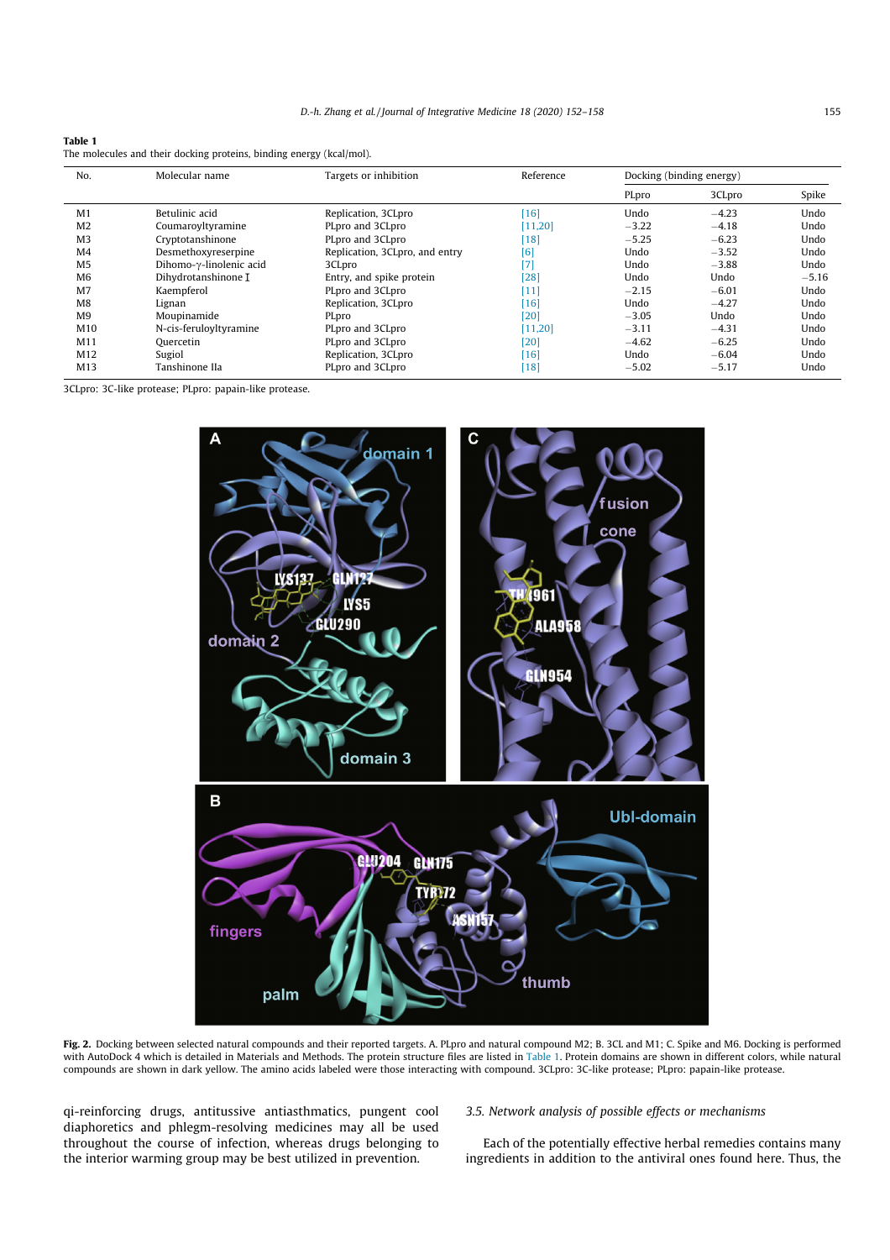| Tabl<br>e<br>ı |
|----------------|
|                |

| The molecules and their docking proteins, binding energy (kcal/mol). |  |  |  |  |
|----------------------------------------------------------------------|--|--|--|--|
|                                                                      |  |  |  |  |

| No.             | Molecular name                   | Targets or inhibition          | Reference | Docking (binding energy) |         |         |
|-----------------|----------------------------------|--------------------------------|-----------|--------------------------|---------|---------|
|                 |                                  |                                |           | PLpro                    | 3CLpro  | Spike   |
| M <sub>1</sub>  | Betulinic acid                   | Replication, 3CLpro            | [16]      | Undo                     | $-4.23$ | Undo    |
| M <sub>2</sub>  | Coumaroyltyramine                | PLpro and 3CLpro               | [11, 20]  | $-3.22$                  | $-4.18$ | Undo    |
| M <sub>3</sub>  | Cryptotanshinone                 | PLpro and 3CLpro               | [18]      | $-5.25$                  | $-6.23$ | Undo    |
| M <sub>4</sub>  | Desmethoxyreserpine              | Replication, 3CLpro, and entry | [6]       | Undo                     | $-3.52$ | Undo    |
| M <sub>5</sub>  | Dihomo- $\gamma$ -linolenic acid | 3CLpro                         | [7]       | Undo                     | $-3.88$ | Undo    |
| M <sub>6</sub>  | Dihydrotanshinone I              | Entry, and spike protein       | [28]      | Undo                     | Undo    | $-5.16$ |
| M <sub>7</sub>  | Kaempferol                       | PLpro and 3CLpro               | [11]      | $-2.15$                  | $-6.01$ | Undo    |
| M8              | Lignan                           | Replication, 3CLpro            | [16]      | Undo                     | $-4.27$ | Undo    |
| M <sub>9</sub>  | Moupinamide                      | PLpro                          | [20]      | $-3.05$                  | Undo    | Undo    |
| M <sub>10</sub> | N-cis-feruloyltyramine           | PLpro and 3CLpro               | [11, 20]  | $-3.11$                  | $-4.31$ | Undo    |
| M11             | Ouercetin                        | PLpro and 3CLpro               | 120       | $-4.62$                  | $-6.25$ | Undo    |
| M12             | Sugiol                           | Replication, 3CLpro            | 116       | Undo                     | $-6.04$ | Undo    |
| M13             | Tanshinone IIa                   | PLpro and 3CLpro               | [18]      | $-5.02$                  | $-5.17$ | Undo    |

3CLpro: 3C-like protease; PLpro: papain-like protease.



Fig. 2. Docking between selected natural compounds and their reported targets. A. PLpro and natural compound M2; B. 3CL and M1; C. Spike and M6. Docking is performed with AutoDock 4 which is detailed in Materials and Methods. The protein structure files are listed in Table 1. Protein domains are shown in different colors, while natural compounds are shown in dark yellow. The amino acids labeled were those interacting with compound. 3CLpro: 3C-like protease; PLpro: papain-like protease.

qi-reinforcing drugs, antitussive antiasthmatics, pungent cool diaphoretics and phlegm-resolving medicines may all be used throughout the course of infection, whereas drugs belonging to the interior warming group may be best utilized in prevention.

# 3.5. Network analysis of possible effects or mechanisms

Each of the potentially effective herbal remedies contains many ingredients in addition to the antiviral ones found here. Thus, the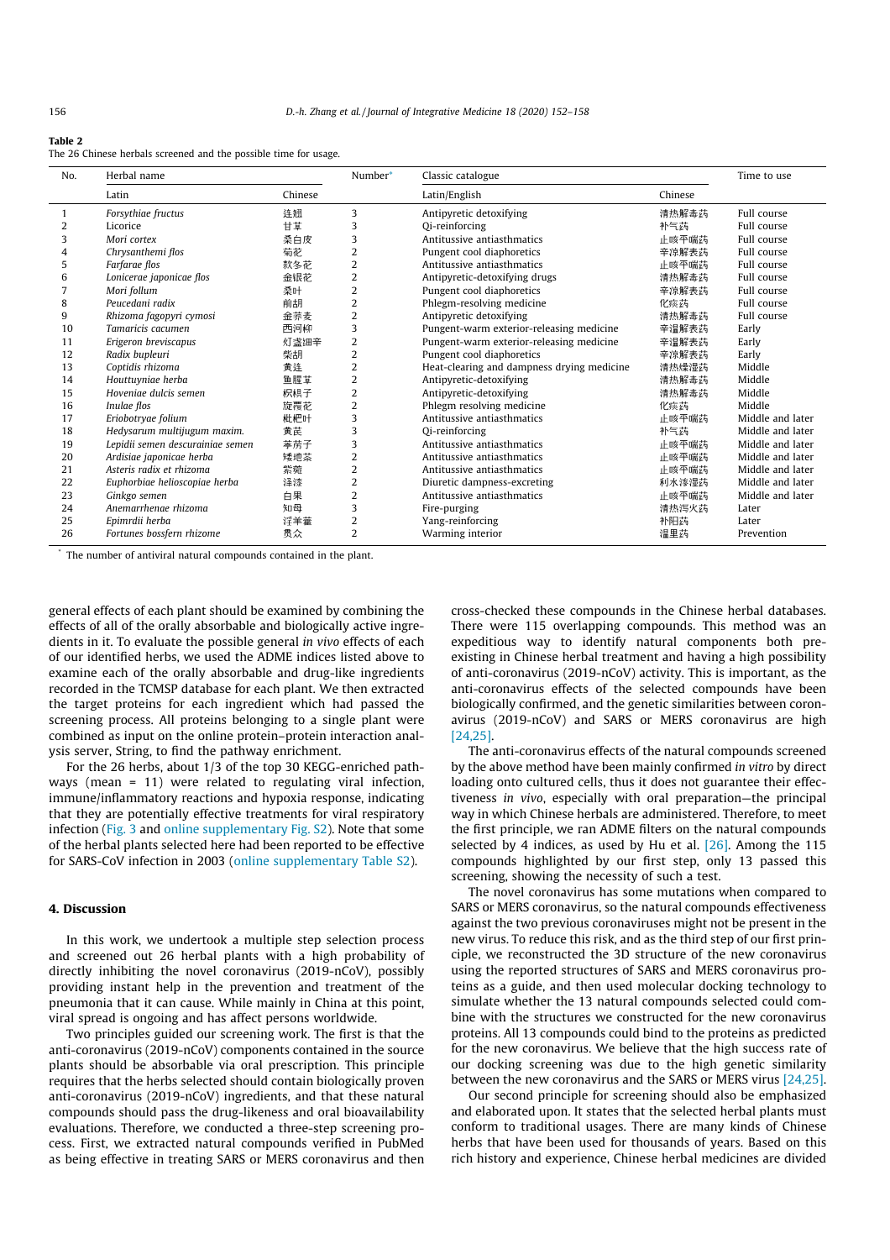#### Table 2

The 26 Chinese herbals screened and the possible time for usage.

| No. | Herbal name                      |         | Number*        | Classic catalogue                          |         | Time to use      |
|-----|----------------------------------|---------|----------------|--------------------------------------------|---------|------------------|
|     | Latin                            | Chinese |                | Latin/English                              | Chinese |                  |
|     | Forsythiae fructus               | 连翘      | 3              | Antipyretic detoxifying                    | 清热解毒药   | Full course      |
| 2   | Licorice                         | 甘草      | 3              | Qi-reinforcing                             | 补气药     | Full course      |
| 3   | Mori cortex                      | 桑白皮     | 3              | Antitussive antiasthmatics                 | 正咳平喘药   | Full course      |
|     | Chrysanthemi flos                | 菊花      | 2              | Pungent cool diaphoretics                  | 辛凉解表药   | Full course      |
| 5   | Farfarae flos                    | 款冬花     | $\overline{2}$ | Antitussive antiasthmatics                 | 止咳平喘药   | Full course      |
| 6   | Lonicerae japonicae flos         | 金银花     | 2              | Antipyretic-detoxifying drugs              | 清热解毒药   | Full course      |
|     | Mori follum                      | 桑叶      | 2              | Pungent cool diaphoretics                  | 辛凉解表药   | Full course      |
| 8   | Peucedani radix                  | 前胡      | 2              | Phlegm-resolving medicine                  | 化痰药     | Full course      |
| 9   | Rhizoma fagopyri cymosi          | 金荞麦     | 2              | Antipyretic detoxifying                    | 清热解毒药   | Full course      |
| 10  | Tamaricis cacumen                | 西河柳     | 3              | Pungent-warm exterior-releasing medicine   | 辛温解表药   | Early            |
| 11  | Erigeron breviscapus             | 灯盏细辛    | $\overline{2}$ | Pungent-warm exterior-releasing medicine   | 辛温解表药   | Early            |
| 12  | Radix bupleuri                   | 柴胡      | $\overline{2}$ | Pungent cool diaphoretics                  | 辛凉解表药   | Early            |
| 13  | Coptidis rhizoma                 | 黄连      | $\overline{2}$ | Heat-clearing and dampness drying medicine | 清热燥湿药   | Middle           |
| 14  | Houttuyniae herba                | 鱼腥草     | 2              | Antipyretic-detoxifying                    | 清热解毒药   | Middle           |
| 15  | Hoveniae dulcis semen            | 枳椇子     | 2              | Antipyretic-detoxifying                    | 清热解毒药   | Middle           |
| 16  | Inulae flos                      | 旋覆花     | 2              | Phlegm resolving medicine                  | 化痰药     | Middle           |
| 17  | Eriobotryae folium               | 枇杷叶     | 3              | Antitussive antiasthmatics                 | 正咳平喘药   | Middle and later |
| 18  | Hedysarum multijugum maxim.      | 黄芪      | 3              | Qi-reinforcing                             | 补气药     | Middle and later |
| 19  | Lepidii semen descurainiae semen | 葦荒子     | 3              | Antitussive antiasthmatics                 | 止咳平喘药   | Middle and later |
| 20  | Ardisiae japonicae herba         | 矮地茶     | 2              | Antitussive antiasthmatics                 | 正咳平喘药   | Middle and later |
| 21  | Asteris radix et rhizoma         | 紫菀      | 2              | Antitussive antiasthmatics                 | 正咳平喘药   | Middle and later |
| 22  | Euphorbiae helioscopiae herba    | 怪漆      | $\overline{2}$ | Diuretic dampness-excreting                | 利水渗湿药   | Middle and later |
| 23  | Ginkgo semen                     | 白果      | 2              | Antitussive antiasthmatics                 | 正咳平喘药   | Middle and later |
| 24  | Anemarrhenae rhizoma             | 知母      | 3              | Fire-purging                               | 清热泻火药   | Later            |
| 25  | Epimrdii herba                   | 浮羊藿     | 2              | Yang-reinforcing                           | 补阳药     | Later            |
| 26  | Fortunes bossfern rhizome        | 贯众      | 2              | Warming interior                           | 温里药     | Prevention       |

\* The number of antiviral natural compounds contained in the plant.

general effects of each plant should be examined by combining the effects of all of the orally absorbable and biologically active ingredients in it. To evaluate the possible general in vivo effects of each of our identified herbs, we used the ADME indices listed above to examine each of the orally absorbable and drug-like ingredients recorded in the TCMSP database for each plant. We then extracted the target proteins for each ingredient which had passed the screening process. All proteins belonging to a single plant were combined as input on the online protein–protein interaction analysis server, String, to find the pathway enrichment.

For the 26 herbs, about 1/3 of the top 30 KEGG-enriched pathways (mean = 11) were related to regulating viral infection, immune/inflammatory reactions and hypoxia response, indicating that they are potentially effective treatments for viral respiratory infection (Fig. 3 and online supplementary Fig. S2). Note that some of the herbal plants selected here had been reported to be effective for SARS-CoV infection in 2003 (online supplementary Table S2).

# 4. Discussion

In this work, we undertook a multiple step selection process and screened out 26 herbal plants with a high probability of directly inhibiting the novel coronavirus (2019-nCoV), possibly providing instant help in the prevention and treatment of the pneumonia that it can cause. While mainly in China at this point, viral spread is ongoing and has affect persons worldwide.

Two principles guided our screening work. The first is that the anti-coronavirus (2019-nCoV) components contained in the source plants should be absorbable via oral prescription. This principle requires that the herbs selected should contain biologically proven anti-coronavirus (2019-nCoV) ingredients, and that these natural compounds should pass the drug-likeness and oral bioavailability evaluations. Therefore, we conducted a three-step screening process. First, we extracted natural compounds verified in PubMed as being effective in treating SARS or MERS coronavirus and then

cross-checked these compounds in the Chinese herbal databases. There were 115 overlapping compounds. This method was an expeditious way to identify natural components both preexisting in Chinese herbal treatment and having a high possibility of anti-coronavirus (2019-nCoV) activity. This is important, as the anti-coronavirus effects of the selected compounds have been biologically confirmed, and the genetic similarities between coronavirus (2019-nCoV) and SARS or MERS coronavirus are high [24,25].

The anti-coronavirus effects of the natural compounds screened by the above method have been mainly confirmed in vitro by direct loading onto cultured cells, thus it does not guarantee their effectiveness in vivo, especially with oral preparation—the principal way in which Chinese herbals are administered. Therefore, to meet the first principle, we ran ADME filters on the natural compounds selected by 4 indices, as used by Hu et al.  $[26]$ . Among the 115 compounds highlighted by our first step, only 13 passed this screening, showing the necessity of such a test.

The novel coronavirus has some mutations when compared to SARS or MERS coronavirus, so the natural compounds effectiveness against the two previous coronaviruses might not be present in the new virus. To reduce this risk, and as the third step of our first principle, we reconstructed the 3D structure of the new coronavirus using the reported structures of SARS and MERS coronavirus proteins as a guide, and then used molecular docking technology to simulate whether the 13 natural compounds selected could combine with the structures we constructed for the new coronavirus proteins. All 13 compounds could bind to the proteins as predicted for the new coronavirus. We believe that the high success rate of our docking screening was due to the high genetic similarity between the new coronavirus and the SARS or MERS virus [24,25].

Our second principle for screening should also be emphasized and elaborated upon. It states that the selected herbal plants must conform to traditional usages. There are many kinds of Chinese herbs that have been used for thousands of years. Based on this rich history and experience, Chinese herbal medicines are divided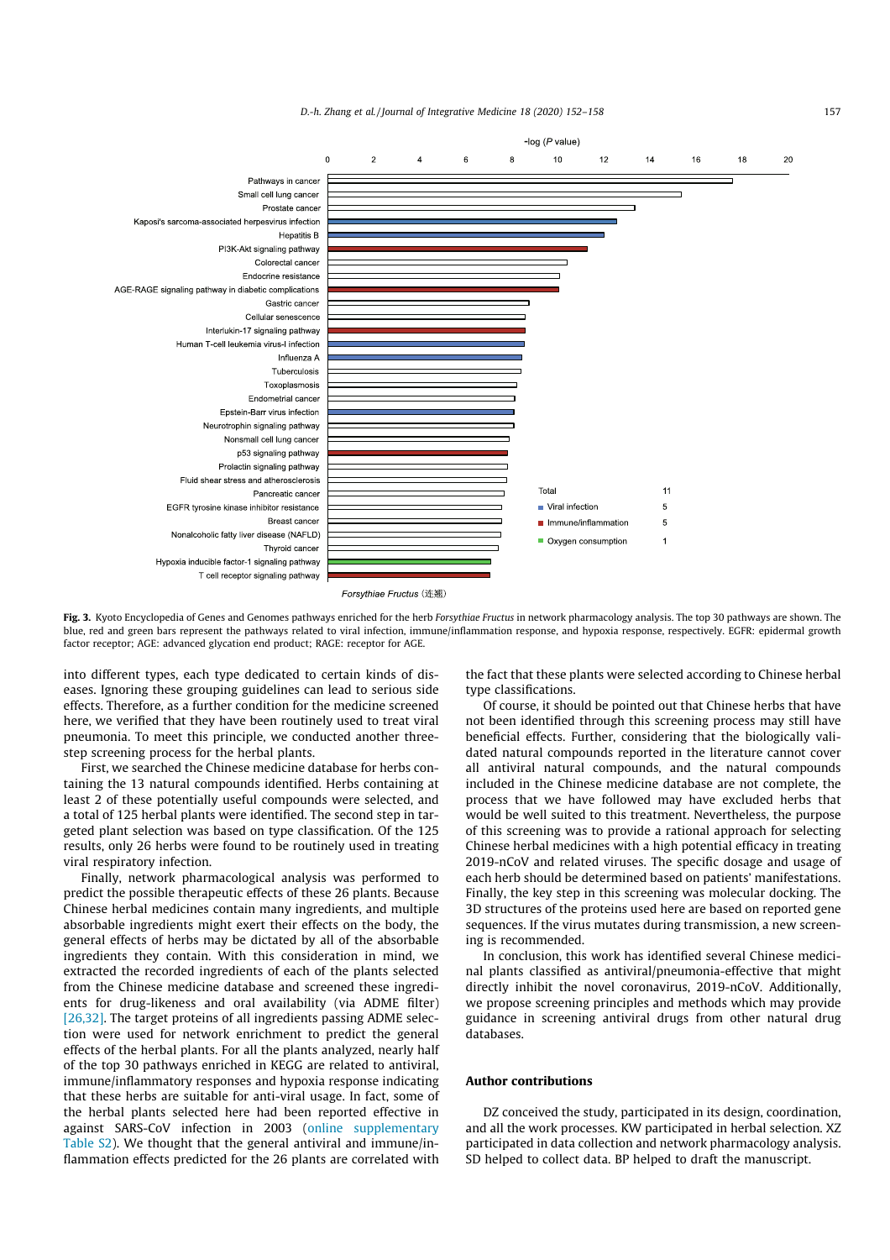

Forsythiae Fructus (连翘)

Fig. 3. Kyoto Encyclopedia of Genes and Genomes pathways enriched for the herb Forsythiae Fructus in network pharmacology analysis. The top 30 pathways are shown. The blue, red and green bars represent the pathways related to viral infection, immune/inflammation response, and hypoxia response, respectively. EGFR: epidermal growth factor receptor; AGE: advanced glycation end product; RAGE: receptor for AGE.

into different types, each type dedicated to certain kinds of diseases. Ignoring these grouping guidelines can lead to serious side effects. Therefore, as a further condition for the medicine screened here, we verified that they have been routinely used to treat viral pneumonia. To meet this principle, we conducted another threestep screening process for the herbal plants.

First, we searched the Chinese medicine database for herbs containing the 13 natural compounds identified. Herbs containing at least 2 of these potentially useful compounds were selected, and a total of 125 herbal plants were identified. The second step in targeted plant selection was based on type classification. Of the 125 results, only 26 herbs were found to be routinely used in treating viral respiratory infection.

Finally, network pharmacological analysis was performed to predict the possible therapeutic effects of these 26 plants. Because Chinese herbal medicines contain many ingredients, and multiple absorbable ingredients might exert their effects on the body, the general effects of herbs may be dictated by all of the absorbable ingredients they contain. With this consideration in mind, we extracted the recorded ingredients of each of the plants selected from the Chinese medicine database and screened these ingredients for drug-likeness and oral availability (via ADME filter) [26,32]. The target proteins of all ingredients passing ADME selection were used for network enrichment to predict the general effects of the herbal plants. For all the plants analyzed, nearly half of the top 30 pathways enriched in KEGG are related to antiviral, immune/inflammatory responses and hypoxia response indicating that these herbs are suitable for anti-viral usage. In fact, some of the herbal plants selected here had been reported effective in against SARS-CoV infection in 2003 (online supplementary Table S2). We thought that the general antiviral and immune/inflammation effects predicted for the 26 plants are correlated with the fact that these plants were selected according to Chinese herbal type classifications.

Of course, it should be pointed out that Chinese herbs that have not been identified through this screening process may still have beneficial effects. Further, considering that the biologically validated natural compounds reported in the literature cannot cover all antiviral natural compounds, and the natural compounds included in the Chinese medicine database are not complete, the process that we have followed may have excluded herbs that would be well suited to this treatment. Nevertheless, the purpose of this screening was to provide a rational approach for selecting Chinese herbal medicines with a high potential efficacy in treating 2019-nCoV and related viruses. The specific dosage and usage of each herb should be determined based on patients' manifestations. Finally, the key step in this screening was molecular docking. The 3D structures of the proteins used here are based on reported gene sequences. If the virus mutates during transmission, a new screening is recommended.

In conclusion, this work has identified several Chinese medicinal plants classified as antiviral/pneumonia-effective that might directly inhibit the novel coronavirus, 2019-nCoV. Additionally, we propose screening principles and methods which may provide guidance in screening antiviral drugs from other natural drug databases.

#### Author contributions

DZ conceived the study, participated in its design, coordination, and all the work processes. KW participated in herbal selection. XZ participated in data collection and network pharmacology analysis. SD helped to collect data. BP helped to draft the manuscript.